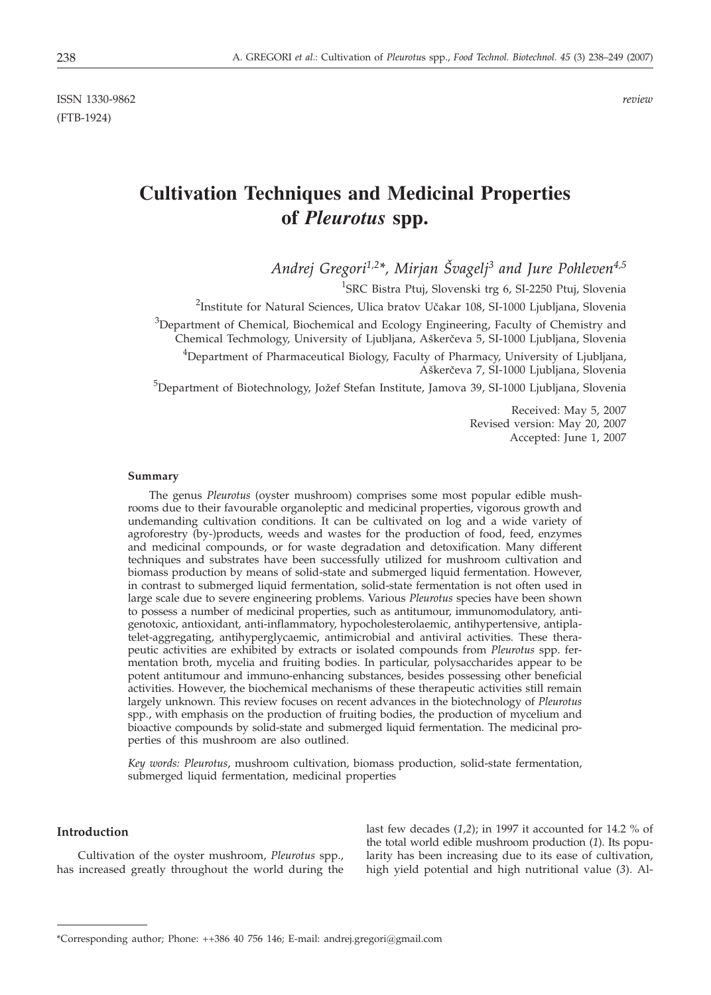ISSN 1330-9862 *review* (FTB-1924)

# **Cultivation Techniques and Medicinal Properties of** *Pleurotus* **spp.**

*Andrej Gregori<sup>1,2\*</sup>, Mirjan Švagelj<sup>3</sup> and Jure Pohleven<sup>4,5</sup>* 

<sup>1</sup>SRC Bistra Ptuj, Slovenski trg 6, SI-2250 Ptuj, Slovenia

<sup>2</sup>Institute for Natural Sciences, Ulica bratov Učakar 108, SI-1000 Ljubljana, Slovenia

 $3$ Department of Chemical, Biochemical and Ecology Engineering, Faculty of Chemistry and Chemical Techmology, University of Ljubljana, Aškerčeva 5, SI-1000 Ljubljana, Slovenia

<sup>4</sup>Department of Pharmaceutical Biology, Faculty of Pharmacy, University of Ljubljana, Aškerčeva 7, SI-1000 Ljubljana, Slovenia

 $^5$ Department of Biotechnology, Jožef Stefan Institute, Jamova 39, SI-1000 Ljubljana, Slovenia

Received: May 5, 2007 Revised version: May 20, 2007 Accepted: June 1, 2007

#### **Summary**

The genus *Pleurotus* (oyster mushroom) comprises some most popular edible mushrooms due to their favourable organoleptic and medicinal properties, vigorous growth and undemanding cultivation conditions. It can be cultivated on log and a wide variety of agroforestry (by-)products, weeds and wastes for the production of food, feed, enzymes and medicinal compounds, or for waste degradation and detoxification. Many different techniques and substrates have been successfully utilized for mushroom cultivation and biomass production by means of solid-state and submerged liquid fermentation. However, in contrast to submerged liquid fermentation, solid-state fermentation is not often used in large scale due to severe engineering problems. Various *Pleurotus* species have been shown to possess a number of medicinal properties, such as antitumour, immunomodulatory, antigenotoxic, antioxidant, anti-inflammatory, hypocholesterolaemic, antihypertensive, antiplatelet-aggregating, antihyperglycaemic, antimicrobial and antiviral activities. These therapeutic activities are exhibited by extracts or isolated compounds from *Pleurotus* spp. fermentation broth, mycelia and fruiting bodies. In particular, polysaccharides appear to be potent antitumour and immuno-enhancing substances, besides possessing other beneficial activities. However, the biochemical mechanisms of these therapeutic activities still remain largely unknown. This review focuses on recent advances in the biotechnology of *Pleurotus* spp*.*, with emphasis on the production of fruiting bodies, the production of mycelium and bioactive compounds by solid-state and submerged liquid fermentation. The medicinal properties of this mushroom are also outlined.

*Key words: Pleurotus*, mushroom cultivation, biomass production, solid-state fermentation, submerged liquid fermentation, medicinal properties

## **Introduction**

Cultivation of the oyster mushroom, *Pleurotus* spp., has increased greatly throughout the world during the last few decades (*1,2*); in 1997 it accounted for 14.2 % of the total world edible mushroom production (*1*). Its popularity has been increasing due to its ease of cultivation, high yield potential and high nutritional value (*3*). Al-

<sup>\*</sup>Corresponding author; Phone: ++386 40 756 146; E-mail: andrej.gregori*@*gmail.com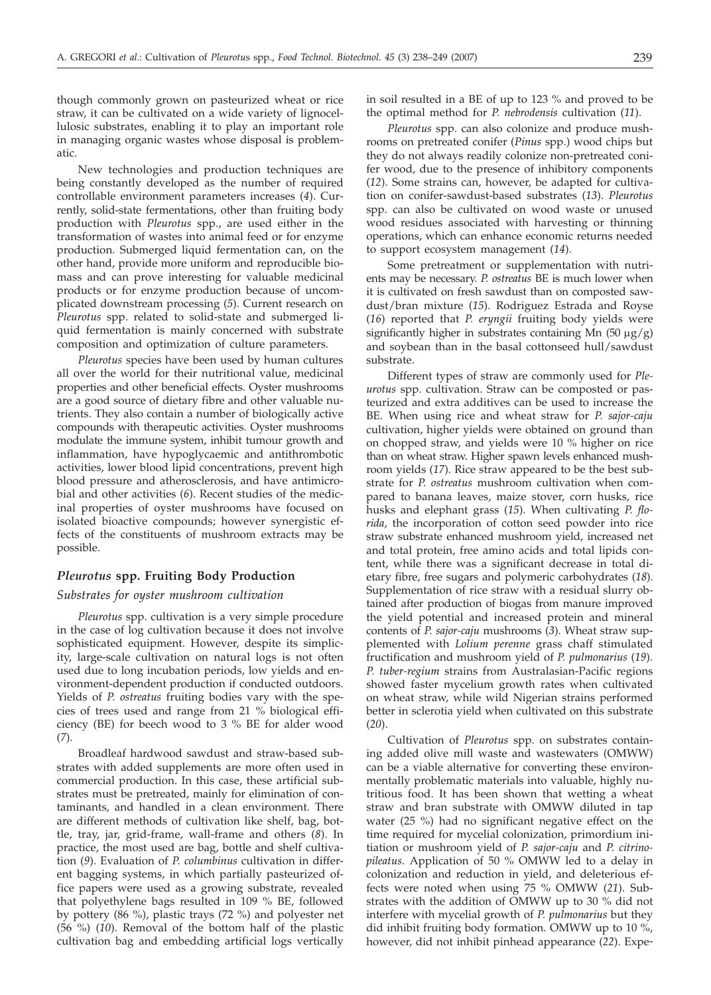though commonly grown on pasteurized wheat or rice straw, it can be cultivated on a wide variety of lignocellulosic substrates, enabling it to play an important role in managing organic wastes whose disposal is problematic.

New technologies and production techniques are being constantly developed as the number of required controllable environment parameters increases (*4*). Currently, solid-state fermentations, other than fruiting body production with *Pleurotus* spp., are used either in the transformation of wastes into animal feed or for enzyme production. Submerged liquid fermentation can, on the other hand, provide more uniform and reproducible biomass and can prove interesting for valuable medicinal products or for enzyme production because of uncomplicated downstream processing (*5*). Current research on *Pleurotus* spp. related to solid-state and submerged liquid fermentation is mainly concerned with substrate composition and optimization of culture parameters.

*Pleurotus* species have been used by human cultures all over the world for their nutritional value, medicinal properties and other beneficial effects. Oyster mushrooms are a good source of dietary fibre and other valuable nutrients. They also contain a number of biologically active compounds with therapeutic activities. Oyster mushrooms modulate the immune system, inhibit tumour growth and inflammation, have hypoglycaemic and antithrombotic activities, lower blood lipid concentrations, prevent high blood pressure and atherosclerosis, and have antimicrobial and other activities (*6*). Recent studies of the medicinal properties of oyster mushrooms have focused on isolated bioactive compounds; however synergistic effects of the constituents of mushroom extracts may be possible.

## *Pleurotus* **spp. Fruiting Body Production**

## *Substrates for oyster mushroom cultivation*

*Pleurotus* spp. cultivation is a very simple procedure in the case of log cultivation because it does not involve sophisticated equipment. However, despite its simplicity, large-scale cultivation on natural logs is not often used due to long incubation periods, low yields and environment-dependent production if conducted outdoors. Yields of *P. ostreatus* fruiting bodies vary with the species of trees used and range from 21 % biological efficiency (BE) for beech wood to 3 % BE for alder wood (*7*).

Broadleaf hardwood sawdust and straw-based substrates with added supplements are more often used in commercial production. In this case, these artificial substrates must be pretreated, mainly for elimination of contaminants, and handled in a clean environment. There are different methods of cultivation like shelf, bag, bottle, tray, jar, grid-frame, wall-frame and others (*8*). In practice, the most used are bag, bottle and shelf cultivation (*9*). Evaluation of *P. columbinus* cultivation in different bagging systems, in which partially pasteurized office papers were used as a growing substrate, revealed that polyethylene bags resulted in 109 % BE, followed by pottery (86 %), plastic trays (72 %) and polyester net (56 %) (*10*). Removal of the bottom half of the plastic cultivation bag and embedding artificial logs vertically

in soil resulted in a BE of up to 123 % and proved to be the optimal method for *P. nebrodensis* cultivation (*11*).

*Pleurotus* spp. can also colonize and produce mushrooms on pretreated conifer (*Pinus* spp.) wood chips but they do not always readily colonize non-pretreated conifer wood, due to the presence of inhibitory components (*12*). Some strains can, however, be adapted for cultivation on conifer-sawdust-based substrates (*13*). *Pleurotus* spp. can also be cultivated on wood waste or unused wood residues associated with harvesting or thinning operations, which can enhance economic returns needed to support ecosystem management (*14*).

Some pretreatment or supplementation with nutrients may be necessary. *P. ostreatus* BE is much lower when it is cultivated on fresh sawdust than on composted sawdust/bran mixture (*15*). Rodriguez Estrada and Royse (*16*) reported that *P. eryngii* fruiting body yields were significantly higher in substrates containing Mn  $(50 \mu g/g)$ and soybean than in the basal cottonseed hull/sawdust substrate.

Different types of straw are commonly used for *Pleurotus* spp. cultivation. Straw can be composted or pasteurized and extra additives can be used to increase the BE. When using rice and wheat straw for *P. sajor-caju* cultivation, higher yields were obtained on ground than on chopped straw, and yields were 10 % higher on rice than on wheat straw. Higher spawn levels enhanced mushroom yields (*17*). Rice straw appeared to be the best substrate for *P. ostreatus* mushroom cultivation when compared to banana leaves, maize stover, corn husks, rice husks and elephant grass (*15*). When cultivating *P. florida*, the incorporation of cotton seed powder into rice straw substrate enhanced mushroom yield, increased net and total protein, free amino acids and total lipids content, while there was a significant decrease in total dietary fibre, free sugars and polymeric carbohydrates (*18*). Supplementation of rice straw with a residual slurry obtained after production of biogas from manure improved the yield potential and increased protein and mineral contents of *P. sajor-caju* mushrooms (*3*). Wheat straw supplemented with *Lolium perenne* grass chaff stimulated fructification and mushroom yield of *P. pulmonarius* (*19*). *P. tuber-regium* strains from Australasian-Pacific regions showed faster mycelium growth rates when cultivated on wheat straw, while wild Nigerian strains performed better in sclerotia yield when cultivated on this substrate (*20*).

Cultivation of *Pleurotus* spp. on substrates containing added olive mill waste and wastewaters (OMWW) can be a viable alternative for converting these environmentally problematic materials into valuable, highly nutritious food. It has been shown that wetting a wheat straw and bran substrate with OMWW diluted in tap water (25 %) had no significant negative effect on the time required for mycelial colonization, primordium initiation or mushroom yield of *P. sajor-caju* and *P. citrinopileatus*. Application of 50 % OMWW led to a delay in colonization and reduction in yield, and deleterious effects were noted when using 75 % OMWW (*21*). Substrates with the addition of OMWW up to 30 % did not interfere with mycelial growth of *P. pulmonarius* but they did inhibit fruiting body formation. OMWW up to 10 %, however, did not inhibit pinhead appearance (*22*). Expe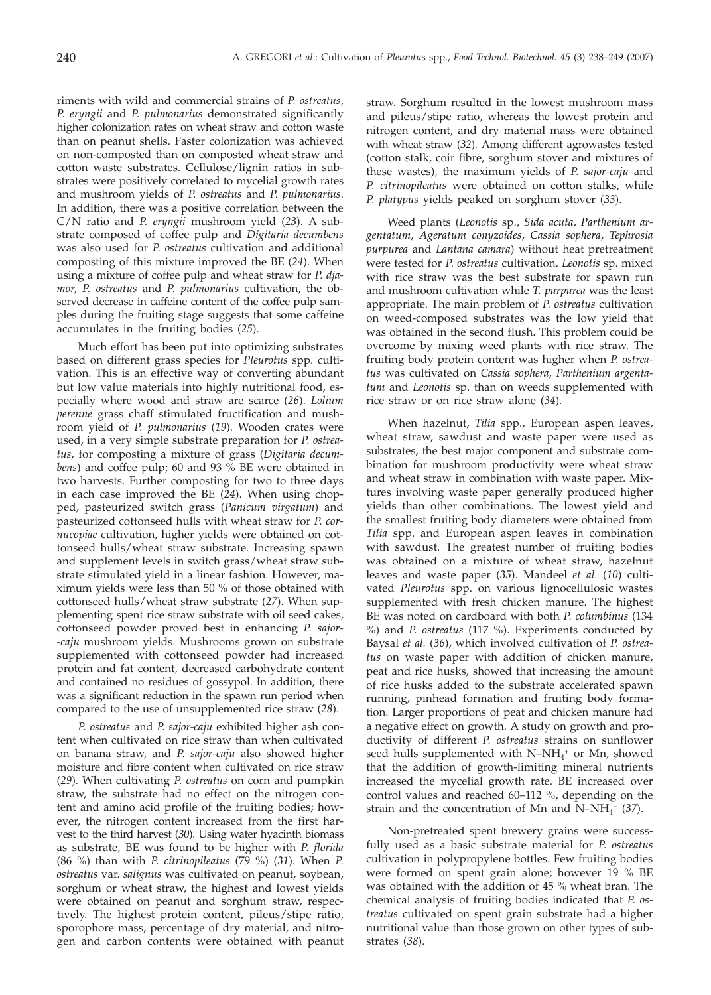riments with wild and commercial strains of *P. ostreatus*, *P. eryngii* and *P. pulmonarius* demonstrated significantly higher colonization rates on wheat straw and cotton waste than on peanut shells. Faster colonization was achieved on non-composted than on composted wheat straw and cotton waste substrates. Cellulose/lignin ratios in substrates were positively correlated to mycelial growth rates and mushroom yields of *P. ostreatus* and *P. pulmonarius*. In addition, there was a positive correlation between the C/N ratio and *P. eryngii* mushroom yield (*23*). A substrate composed of coffee pulp and *Digitaria decumbens* was also used for *P. ostreatus* cultivation and additional composting of this mixture improved the BE (*24*). When using a mixture of coffee pulp and wheat straw for *P. djamor*, *P. ostreatus* and *P. pulmonarius* cultivation, the observed decrease in caffeine content of the coffee pulp samples during the fruiting stage suggests that some caffeine accumulates in the fruiting bodies (*25*).

Much effort has been put into optimizing substrates based on different grass species for *Pleurotus* spp. cultivation. This is an effective way of converting abundant but low value materials into highly nutritional food, especially where wood and straw are scarce (*26*). *Lolium perenne* grass chaff stimulated fructification and mushroom yield of *P. pulmonarius* (*19*). Wooden crates were used, in a very simple substrate preparation for *P. ostreatus*, for composting a mixture of grass (*Digitaria decumbens*) and coffee pulp; 60 and 93 % BE were obtained in two harvests. Further composting for two to three days in each case improved the BE (*24*). When using chopped, pasteurized switch grass (*Panicum virgatum*) and pasteurized cottonseed hulls with wheat straw for *P. cornucopiae* cultivation, higher yields were obtained on cottonseed hulls/wheat straw substrate. Increasing spawn and supplement levels in switch grass/wheat straw substrate stimulated yield in a linear fashion. However, maximum yields were less than 50 % of those obtained with cottonseed hulls/wheat straw substrate (*27*). When supplementing spent rice straw substrate with oil seed cakes, cottonseed powder proved best in enhancing *P. sajor- -caju* mushroom yields. Mushrooms grown on substrate supplemented with cottonseed powder had increased protein and fat content, decreased carbohydrate content and contained no residues of gossypol. In addition, there was a significant reduction in the spawn run period when compared to the use of unsupplemented rice straw (*28*).

*P. ostreatus* and *P. sajor-caju* exhibited higher ash content when cultivated on rice straw than when cultivated on banana straw, and *P. sajor-caju* also showed higher moisture and fibre content when cultivated on rice straw (*29*). When cultivating *P. ostreatus* on corn and pumpkin straw, the substrate had no effect on the nitrogen content and amino acid profile of the fruiting bodies; however, the nitrogen content increased from the first harvest to the third harvest (*30*). Using water hyacinth biomass as substrate, BE was found to be higher with *P. florida* (86 %) than with *P. citrinopileatus* (79 %) (*31*). When *P. ostreatus* var. *salignus* was cultivated on peanut, soybean, sorghum or wheat straw, the highest and lowest yields were obtained on peanut and sorghum straw, respectively. The highest protein content, pileus/stipe ratio, sporophore mass, percentage of dry material, and nitrogen and carbon contents were obtained with peanut straw. Sorghum resulted in the lowest mushroom mass and pileus/stipe ratio, whereas the lowest protein and nitrogen content, and dry material mass were obtained with wheat straw (*32*). Among different agrowastes tested (cotton stalk, coir fibre, sorghum stover and mixtures of these wastes), the maximum yields of *P. sajor-caju* and *P. citrinopileatus* were obtained on cotton stalks, while *P. platypus* yields peaked on sorghum stover (*33*).

Weed plants (*Leonotis* sp., *Sida acuta*, *Parthenium argentatum*, *Ageratum conyzoides*, *Cassia sophera*, *Tephrosia purpurea* and *Lantana camara*) without heat pretreatment were tested for *P*. *ostreatus* cultivation. *Leonotis* sp. mixed with rice straw was the best substrate for spawn run and mushroom cultivation while *T. purpurea* was the least appropriate. The main problem of *P. ostreatus* cultivation on weed-composed substrates was the low yield that was obtained in the second flush. This problem could be overcome by mixing weed plants with rice straw. The fruiting body protein content was higher when *P. ostreatus* was cultivated on *Cassia sophera, Parthenium argentatum* and *Leonotis* sp. than on weeds supplemented with rice straw or on rice straw alone (*34*).

When hazelnut, *Tilia* spp., European aspen leaves, wheat straw, sawdust and waste paper were used as substrates, the best major component and substrate combination for mushroom productivity were wheat straw and wheat straw in combination with waste paper. Mixtures involving waste paper generally produced higher yields than other combinations. The lowest yield and the smallest fruiting body diameters were obtained from *Tilia* spp. and European aspen leaves in combination with sawdust. The greatest number of fruiting bodies was obtained on a mixture of wheat straw, hazelnut leaves and waste paper (*35*). Mandeel *et al.* (*10*) cultivated *Pleurotus* spp. on various lignocellulosic wastes supplemented with fresh chicken manure. The highest BE was noted on cardboard with both *P. columbinus* (134 %) and *P. ostreatus* (117 %). Experiments conducted by Baysal *et al.* (*36*), which involved cultivation of *P. ostreatus* on waste paper with addition of chicken manure, peat and rice husks, showed that increasing the amount of rice husks added to the substrate accelerated spawn running, pinhead formation and fruiting body formation. Larger proportions of peat and chicken manure had a negative effect on growth. A study on growth and productivity of different *P. ostreatus* strains on sunflower seed hulls supplemented with N–NH<sub>4</sub><sup>+</sup> or Mn, showed that the addition of growth-limiting mineral nutrients increased the mycelial growth rate. BE increased over control values and reached 60–112 %, depending on the strain and the concentration of Mn and N–NH<sub>4</sub><sup>+</sup> (37).

Non-pretreated spent brewery grains were successfully used as a basic substrate material for *P. ostreatus* cultivation in polypropylene bottles. Few fruiting bodies were formed on spent grain alone; however 19 % BE was obtained with the addition of 45 % wheat bran. The chemical analysis of fruiting bodies indicated that *P. ostreatus* cultivated on spent grain substrate had a higher nutritional value than those grown on other types of substrates (*38*).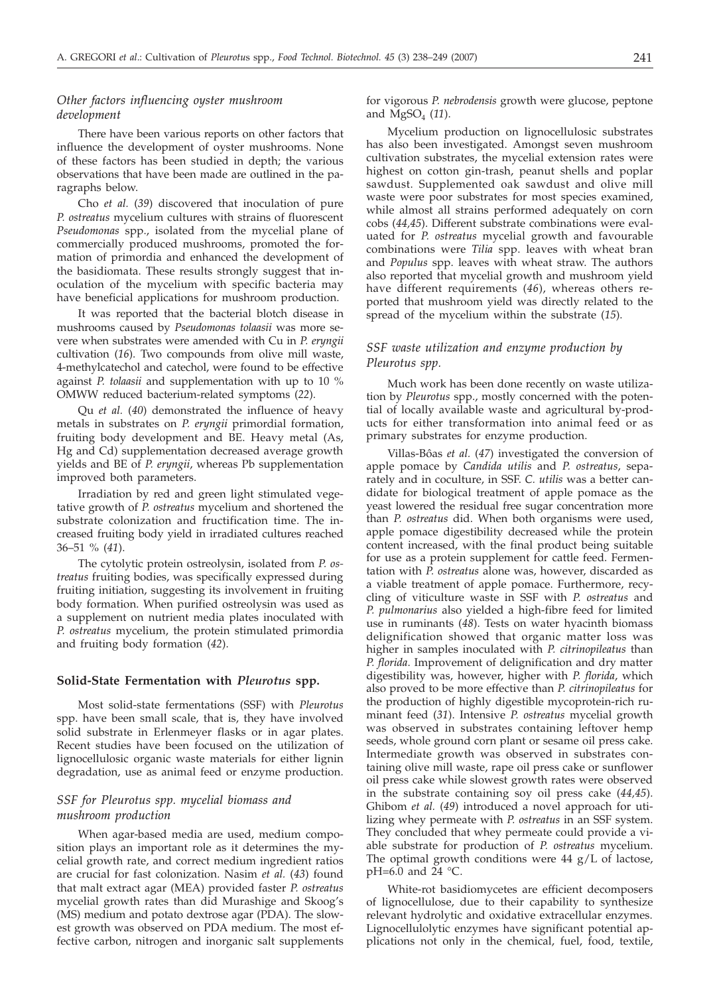# *Other factors influencing oyster mushroom development*

There have been various reports on other factors that influence the development of oyster mushrooms. None of these factors has been studied in depth; the various observations that have been made are outlined in the paragraphs below.

Cho *et al.* (*39*) discovered that inoculation of pure *P. ostreatus* mycelium cultures with strains of fluorescent *Pseudomonas* spp., isolated from the mycelial plane of commercially produced mushrooms, promoted the formation of primordia and enhanced the development of the basidiomata. These results strongly suggest that inoculation of the mycelium with specific bacteria may have beneficial applications for mushroom production.

It was reported that the bacterial blotch disease in mushrooms caused by *Pseudomonas tolaasii* was more severe when substrates were amended with Cu in *P. eryngii* cultivation (*16*). Two compounds from olive mill waste, 4-methylcatechol and catechol, were found to be effective against *P. tolaasii* and supplementation with up to 10 % OMWW reduced bacterium-related symptoms (*22*).

Qu *et al.* (*40*) demonstrated the influence of heavy metals in substrates on *P. eryngii* primordial formation, fruiting body development and BE. Heavy metal (As, Hg and Cd) supplementation decreased average growth yields and BE of *P. eryngii*, whereas Pb supplementation improved both parameters.

Irradiation by red and green light stimulated vegetative growth of *P. ostreatus* mycelium and shortened the substrate colonization and fructification time. The increased fruiting body yield in irradiated cultures reached 36–51 % (*41*).

The cytolytic protein ostreolysin, isolated from *P. ostreatus* fruiting bodies, was specifically expressed during fruiting initiation, suggesting its involvement in fruiting body formation. When purified ostreolysin was used as a supplement on nutrient media plates inoculated with *P. ostreatus* mycelium, the protein stimulated primordia and fruiting body formation (*42*).

#### **Solid-State Fermentation with** *Pleurotus* **spp.**

Most solid-state fermentations (SSF) with *Pleurotus* spp. have been small scale, that is, they have involved solid substrate in Erlenmeyer flasks or in agar plates. Recent studies have been focused on the utilization of lignocellulosic organic waste materials for either lignin degradation, use as animal feed or enzyme production.

## *SSF for Pleurotus spp. mycelial biomass and mushroom production*

When agar-based media are used, medium composition plays an important role as it determines the mycelial growth rate, and correct medium ingredient ratios are crucial for fast colonization. Nasim *et al.* (*43*) found that malt extract agar (MEA) provided faster *P. ostreatus* mycelial growth rates than did Murashige and Skoog's (MS) medium and potato dextrose agar (PDA). The slowest growth was observed on PDA medium. The most effective carbon, nitrogen and inorganic salt supplements for vigorous *P. nebrodensis* growth were glucose, peptone and  $MgSO<sub>4</sub>$  (11).

Mycelium production on lignocellulosic substrates has also been investigated. Amongst seven mushroom cultivation substrates, the mycelial extension rates were highest on cotton gin-trash, peanut shells and poplar sawdust. Supplemented oak sawdust and olive mill waste were poor substrates for most species examined, while almost all strains performed adequately on corn cobs (*44,45*). Different substrate combinations were evaluated for *P. ostreatus* mycelial growth and favourable combinations were *Tilia* spp. leaves with wheat bran and *Populus* spp. leaves with wheat straw. The authors also reported that mycelial growth and mushroom yield have different requirements (*46*), whereas others reported that mushroom yield was directly related to the spread of the mycelium within the substrate (*15*).

## *SSF waste utilization and enzyme production by Pleurotus spp.*

Much work has been done recently on waste utilization by *Pleurotus* spp., mostly concerned with the potential of locally available waste and agricultural by-products for either transformation into animal feed or as primary substrates for enzyme production.

Villas-Bôas *et al.* (*47*) investigated the conversion of apple pomace by *Candida utilis* and *P. ostreatus*, separately and in coculture, in SSF. *C. utilis* was a better candidate for biological treatment of apple pomace as the yeast lowered the residual free sugar concentration more than *P. ostreatus* did. When both organisms were used, apple pomace digestibility decreased while the protein content increased, with the final product being suitable for use as a protein supplement for cattle feed. Fermentation with *P. ostreatus* alone was, however, discarded as a viable treatment of apple pomace. Furthermore, recycling of viticulture waste in SSF with *P. ostreatus* and *P. pulmonarius* also yielded a high-fibre feed for limited use in ruminants (*48*). Tests on water hyacinth biomass delignification showed that organic matter loss was higher in samples inoculated with *P. citrinopileatus* than *P. florida*. Improvement of delignification and dry matter digestibility was, however, higher with *P. florida*, which also proved to be more effective than *P. citrinopileatus* for the production of highly digestible mycoprotein-rich ruminant feed (*31*). Intensive *P. ostreatus* mycelial growth was observed in substrates containing leftover hemp seeds, whole ground corn plant or sesame oil press cake. Intermediate growth was observed in substrates containing olive mill waste, rape oil press cake or sunflower oil press cake while slowest growth rates were observed in the substrate containing soy oil press cake (*44,45*). Ghibom *et al.* (*49*) introduced a novel approach for utilizing whey permeate with *P. ostreatus* in an SSF system. They concluded that whey permeate could provide a viable substrate for production of *P. ostreatus* mycelium. The optimal growth conditions were 44 g/L of lactose, pH=6.0 and 24 °C.

White-rot basidiomycetes are efficient decomposers of lignocellulose, due to their capability to synthesize relevant hydrolytic and oxidative extracellular enzymes. Lignocellulolytic enzymes have significant potential applications not only in the chemical, fuel, food, textile,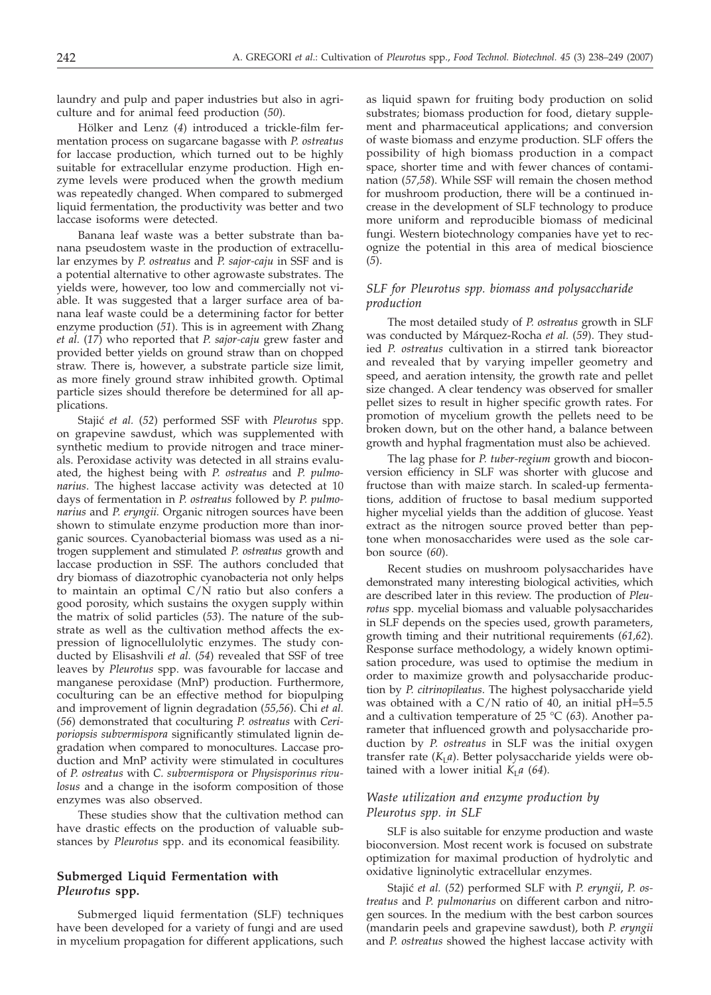laundry and pulp and paper industries but also in agriculture and for animal feed production (*50*).

Hölker and Lenz (*4*) introduced a trickle-film fermentation process on sugarcane bagasse with *P. ostreatus* for laccase production, which turned out to be highly suitable for extracellular enzyme production. High enzyme levels were produced when the growth medium was repeatedly changed. When compared to submerged liquid fermentation, the productivity was better and two laccase isoforms were detected.

Banana leaf waste was a better substrate than banana pseudostem waste in the production of extracellular enzymes by *P. ostreatus* and *P. sajor-caju* in SSF and is a potential alternative to other agrowaste substrates. The yields were, however, too low and commercially not viable. It was suggested that a larger surface area of banana leaf waste could be a determining factor for better enzyme production (*51*). This is in agreement with Zhang *et al.* (*17*) who reported that *P. sajor-caju* grew faster and provided better yields on ground straw than on chopped straw. There is, however, a substrate particle size limit, as more finely ground straw inhibited growth. Optimal particle sizes should therefore be determined for all applications.

Staji} *et al.* (*52*) performed SSF with *Pleurotus* spp. on grapevine sawdust, which was supplemented with synthetic medium to provide nitrogen and trace minerals. Peroxidase activity was detected in all strains evaluated, the highest being with *P. ostreatus* and *P. pulmonarius*. The highest laccase activity was detected at 10 days of fermentation in *P. ostreatus* followed by *P. pulmonarius* and *P. eryngii.* Organic nitrogen sources have been shown to stimulate enzyme production more than inorganic sources. Cyanobacterial biomass was used as a nitrogen supplement and stimulated *P. ostreatus* growth and laccase production in SSF. The authors concluded that dry biomass of diazotrophic cyanobacteria not only helps to maintain an optimal C/N ratio but also confers a good porosity, which sustains the oxygen supply within the matrix of solid particles (*53*). The nature of the substrate as well as the cultivation method affects the expression of lignocellulolytic enzymes. The study conducted by Elisashvili *et al.* (*54*) revealed that SSF of tree leaves by *Pleurotus* spp. was favourable for laccase and manganese peroxidase (MnP) production. Furthermore, coculturing can be an effective method for biopulping and improvement of lignin degradation (*55,56*). Chi *et al.* (*56*) demonstrated that coculturing *P. ostreatus* with *Ceriporiopsis subvermispora* significantly stimulated lignin degradation when compared to monocultures. Laccase production and MnP activity were stimulated in cocultures of *P. ostreatus* with *C. subvermispora* or *Physisporinus rivulosus* and a change in the isoform composition of those enzymes was also observed.

These studies show that the cultivation method can have drastic effects on the production of valuable substances by *Pleurotus* spp. and its economical feasibility.

# **Submerged Liquid Fermentation with** *Pleurotus* **spp.**

Submerged liquid fermentation (SLF) techniques have been developed for a variety of fungi and are used in mycelium propagation for different applications, such

as liquid spawn for fruiting body production on solid substrates; biomass production for food, dietary supplement and pharmaceutical applications; and conversion of waste biomass and enzyme production. SLF offers the possibility of high biomass production in a compact space, shorter time and with fewer chances of contamination (*57,58*). While SSF will remain the chosen method for mushroom production, there will be a continued increase in the development of SLF technology to produce more uniform and reproducible biomass of medicinal fungi. Western biotechnology companies have yet to recognize the potential in this area of medical bioscience (*5*).

## *SLF for Pleurotus spp. biomass and polysaccharide production*

The most detailed study of *P. ostreatus* growth in SLF was conducted by Márquez-Rocha *et al.* (*59*). They studied *P. ostreatus* cultivation in a stirred tank bioreactor and revealed that by varying impeller geometry and speed, and aeration intensity, the growth rate and pellet size changed. A clear tendency was observed for smaller pellet sizes to result in higher specific growth rates. For promotion of mycelium growth the pellets need to be broken down, but on the other hand, a balance between growth and hyphal fragmentation must also be achieved.

The lag phase for *P. tuber-regium* growth and bioconversion efficiency in SLF was shorter with glucose and fructose than with maize starch. In scaled-up fermentations, addition of fructose to basal medium supported higher mycelial yields than the addition of glucose. Yeast extract as the nitrogen source proved better than peptone when monosaccharides were used as the sole carbon source (*60*).

Recent studies on mushroom polysaccharides have demonstrated many interesting biological activities, which are described later in this review. The production of *Pleurotus* spp. mycelial biomass and valuable polysaccharides in SLF depends on the species used, growth parameters, growth timing and their nutritional requirements (*61,62*). Response surface methodology, a widely known optimisation procedure, was used to optimise the medium in order to maximize growth and polysaccharide production by *P. citrinopileatus*. The highest polysaccharide yield was obtained with a  $C/N$  ratio of 40, an initial pH=5.5 and a cultivation temperature of 25 °C (*63*). Another parameter that influenced growth and polysaccharide production by *P. ostreatus* in SLF was the initial oxygen transfer rate  $(K<sub>L</sub>a)$ . Better polysaccharide yields were obtained with a lower initial  $K_{\text{I}}\text{a}$  (64).

## *Waste utilization and enzyme production by Pleurotus spp. in SLF*

SLF is also suitable for enzyme production and waste bioconversion. Most recent work is focused on substrate optimization for maximal production of hydrolytic and oxidative ligninolytic extracellular enzymes.

Staji} *et al.* (*52*) performed SLF with *P. eryngii*, *P. ostreatus* and *P. pulmonarius* on different carbon and nitrogen sources. In the medium with the best carbon sources (mandarin peels and grapevine sawdust), both *P. eryngii* and *P. ostreatus* showed the highest laccase activity with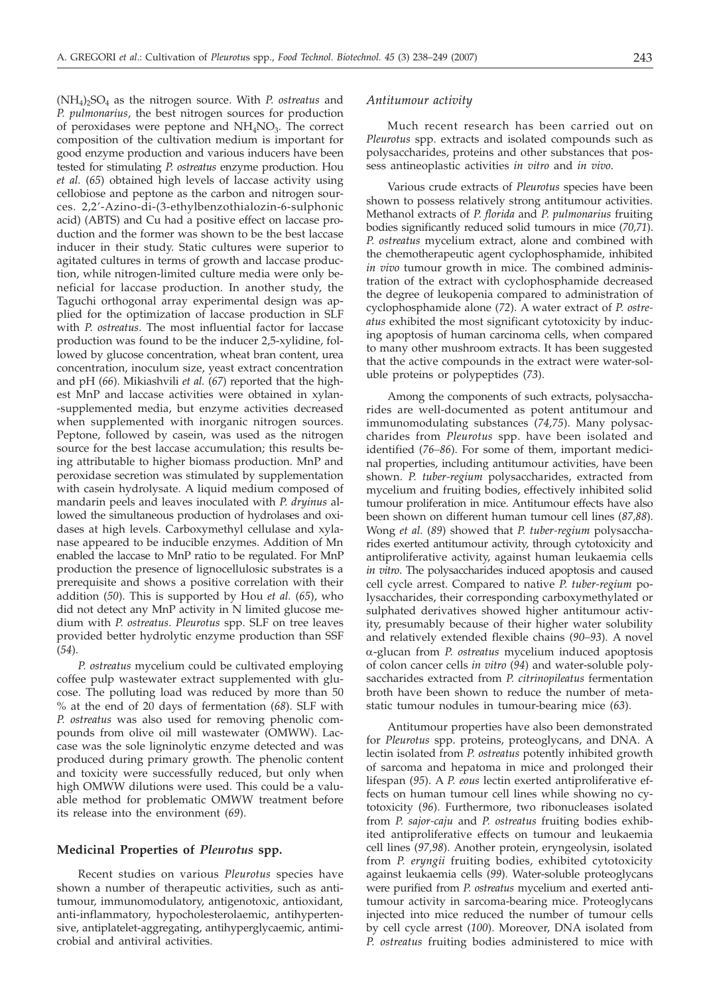$(NH_4)$ <sub>2</sub>SO<sub>4</sub> as the nitrogen source. With *P. ostreatus* and *P. pulmonarius*, the best nitrogen sources for production of peroxidases were peptone and  $NH<sub>4</sub>NO<sub>3</sub>$ . The correct composition of the cultivation medium is important for good enzyme production and various inducers have been tested for stimulating *P. ostreatus* enzyme production. Hou *et al.* (*65*) obtained high levels of laccase activity using cellobiose and peptone as the carbon and nitrogen sources. 2,2'-Azino-di-(3-ethylbenzothialozin-6-sulphonic acid) (ABTS) and Cu had a positive effect on laccase production and the former was shown to be the best laccase inducer in their study. Static cultures were superior to agitated cultures in terms of growth and laccase production, while nitrogen-limited culture media were only beneficial for laccase production. In another study, the Taguchi orthogonal array experimental design was applied for the optimization of laccase production in SLF with *P. ostreatus*. The most influential factor for laccase production was found to be the inducer 2,5-xylidine, followed by glucose concentration, wheat bran content, urea concentration, inoculum size, yeast extract concentration and pH (*66*). Mikiashvili *et al.* (*67*) reported that the highest MnP and laccase activities were obtained in xylan- -supplemented media, but enzyme activities decreased when supplemented with inorganic nitrogen sources. Peptone, followed by casein, was used as the nitrogen source for the best laccase accumulation; this results being attributable to higher biomass production. MnP and peroxidase secretion was stimulated by supplementation with casein hydrolysate. A liquid medium composed of mandarin peels and leaves inoculated with *P. dryinus* allowed the simultaneous production of hydrolases and oxidases at high levels. Carboxymethyl cellulase and xylanase appeared to be inducible enzymes. Addition of Mn enabled the laccase to MnP ratio to be regulated. For MnP production the presence of lignocellulosic substrates is a prerequisite and shows a positive correlation with their addition (*50*). This is supported by Hou *et al.* (*65*), who did not detect any MnP activity in N limited glucose medium with *P. ostreatus*. *Pleurotus* spp. SLF on tree leaves provided better hydrolytic enzyme production than SSF (*54*).

*P. ostreatus* mycelium could be cultivated employing coffee pulp wastewater extract supplemented with glucose. The polluting load was reduced by more than 50 % at the end of 20 days of fermentation (*68*). SLF with *P. ostreatus* was also used for removing phenolic compounds from olive oil mill wastewater (OMWW). Laccase was the sole ligninolytic enzyme detected and was produced during primary growth. The phenolic content and toxicity were successfully reduced, but only when high OMWW dilutions were used. This could be a valuable method for problematic OMWW treatment before its release into the environment (*69*).

#### **Medicinal Properties of** *Pleurotus* **spp.**

Recent studies on various *Pleurotus* species have shown a number of therapeutic activities, such as antitumour, immunomodulatory, antigenotoxic, antioxidant, anti-inflammatory, hypocholesterolaemic, antihypertensive, antiplatelet-aggregating, antihyperglycaemic, antimicrobial and antiviral activities.

#### *Antitumour activity*

Much recent research has been carried out on *Pleurotus* spp. extracts and isolated compounds such as polysaccharides, proteins and other substances that possess antineoplastic activities *in vitro* and *in vivo*.

Various crude extracts of *Pleurotus* species have been shown to possess relatively strong antitumour activities. Methanol extracts of *P. florida* and *P. pulmonarius* fruiting bodies significantly reduced solid tumours in mice (*70,71*). *P. ostreatus* mycelium extract, alone and combined with the chemotherapeutic agent cyclophosphamide, inhibited *in vivo* tumour growth in mice. The combined administration of the extract with cyclophosphamide decreased the degree of leukopenia compared to administration of cyclophosphamide alone (*72*). A water extract of *P. ostreatus* exhibited the most significant cytotoxicity by inducing apoptosis of human carcinoma cells, when compared to many other mushroom extracts. It has been suggested that the active compounds in the extract were water-soluble proteins or polypeptides (*73*).

Among the components of such extracts, polysaccharides are well-documented as potent antitumour and immunomodulating substances (*74,75*). Many polysaccharides from *Pleurotus* spp. have been isolated and identified (*76–86*). For some of them, important medicinal properties, including antitumour activities, have been shown. *P. tuber-regium* polysaccharides, extracted from mycelium and fruiting bodies, effectively inhibited solid tumour proliferation in mice. Antitumour effects have also been shown on different human tumour cell lines (*87,88*). Wong *et al.* (*89*) showed that *P. tuber-regium* polysaccharides exerted antitumour activity, through cytotoxicity and antiproliferative activity, against human leukaemia cells *in vitro*. The polysaccharides induced apoptosis and caused cell cycle arrest. Compared to native *P. tuber-regium* polysaccharides, their corresponding carboxymethylated or sulphated derivatives showed higher antitumour activity, presumably because of their higher water solubility and relatively extended flexible chains (*90–93*). A novel a-glucan from *P. ostreatus* mycelium induced apoptosis of colon cancer cells *in vitro* (*94*) and water-soluble polysaccharides extracted from *P. citrinopileatus* fermentation broth have been shown to reduce the number of metastatic tumour nodules in tumour-bearing mice (*63*).

Antitumour properties have also been demonstrated for *Pleurotus* spp. proteins, proteoglycans, and DNA. A lectin isolated from *P. ostreatus* potently inhibited growth of sarcoma and hepatoma in mice and prolonged their lifespan (*95*). A *P. eous* lectin exerted antiproliferative effects on human tumour cell lines while showing no cytotoxicity (*96*). Furthermore, two ribonucleases isolated from *P. sajor-caju* and *P. ostreatus* fruiting bodies exhibited antiproliferative effects on tumour and leukaemia cell lines (*97,98*). Another protein, eryngeolysin, isolated from *P. eryngii* fruiting bodies, exhibited cytotoxicity against leukaemia cells (*99*). Water-soluble proteoglycans were purified from *P. ostreatus* mycelium and exerted antitumour activity in sarcoma-bearing mice. Proteoglycans injected into mice reduced the number of tumour cells by cell cycle arrest (*100*). Moreover, DNA isolated from *P. ostreatus* fruiting bodies administered to mice with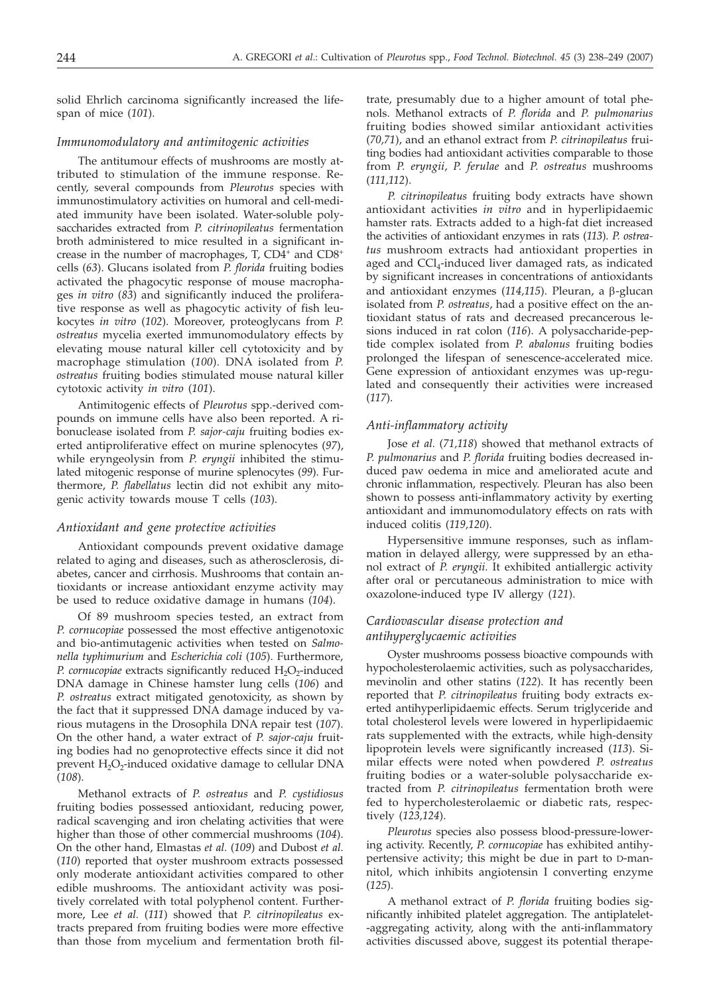solid Ehrlich carcinoma significantly increased the lifespan of mice (*101*).

#### *Immunomodulatory and antimitogenic activities*

The antitumour effects of mushrooms are mostly attributed to stimulation of the immune response. Recently, several compounds from *Pleurotus* species with immunostimulatory activities on humoral and cell-mediated immunity have been isolated. Water-soluble polysaccharides extracted from *P. citrinopileatus* fermentation broth administered to mice resulted in a significant increase in the number of macrophages, T, CD4<sup>+</sup> and CD8<sup>+</sup> cells (*63*). Glucans isolated from *P. florida* fruiting bodies activated the phagocytic response of mouse macrophages *in vitro* (*83*) and significantly induced the proliferative response as well as phagocytic activity of fish leukocytes *in vitro* (*102*). Moreover, proteoglycans from *P. ostreatus* mycelia exerted immunomodulatory effects by elevating mouse natural killer cell cytotoxicity and by macrophage stimulation (*100*). DNA isolated from *P. ostreatus* fruiting bodies stimulated mouse natural killer cytotoxic activity *in vitro* (*101*).

Antimitogenic effects of *Pleurotus* spp.-derived compounds on immune cells have also been reported. A ribonuclease isolated from *P. sajor-caju* fruiting bodies exerted antiproliferative effect on murine splenocytes (*97*), while eryngeolysin from *P. eryngii* inhibited the stimulated mitogenic response of murine splenocytes (*99*). Furthermore, *P. flabellatus* lectin did not exhibit any mitogenic activity towards mouse T cells (*103*).

## *Antioxidant and gene protective activities*

Antioxidant compounds prevent oxidative damage related to aging and diseases, such as atherosclerosis, diabetes, cancer and cirrhosis. Mushrooms that contain antioxidants or increase antioxidant enzyme activity may be used to reduce oxidative damage in humans (*104*).

Of 89 mushroom species tested, an extract from *P. cornucopiae* possessed the most effective antigenotoxic and bio-antimutagenic activities when tested on *Salmonella typhimurium* and *Escherichia coli* (*105*). Furthermore, *P. cornucopiae* extracts significantly reduced H<sub>2</sub>O<sub>2</sub>-induced DNA damage in Chinese hamster lung cells (*106*) and *P. ostreatus* extract mitigated genotoxicity, as shown by the fact that it suppressed DNA damage induced by various mutagens in the Drosophila DNA repair test (*107*). On the other hand, a water extract of *P. sajor-caju* fruiting bodies had no genoprotective effects since it did not prevent  $H_2O_2$ -induced oxidative damage to cellular DNA (*108*).

Methanol extracts of *P. ostreatus* and *P. cystidiosus* fruiting bodies possessed antioxidant, reducing power, radical scavenging and iron chelating activities that were higher than those of other commercial mushrooms (*104*). On the other hand, Elmastas *et al.* (*109*) and Dubost *et al.* (*110*) reported that oyster mushroom extracts possessed only moderate antioxidant activities compared to other edible mushrooms. The antioxidant activity was positively correlated with total polyphenol content. Furthermore, Lee *et al.* (*111*) showed that *P. citrinopileatus* extracts prepared from fruiting bodies were more effective than those from mycelium and fermentation broth filtrate, presumably due to a higher amount of total phenols. Methanol extracts of *P. florida* and *P. pulmonarius* fruiting bodies showed similar antioxidant activities (*70,71*), and an ethanol extract from *P. citrinopileatus* fruiting bodies had antioxidant activities comparable to those from *P. eryngii*, *P. ferulae* and *P. ostreatus* mushrooms (*111,112*).

*P. citrinopileatus* fruiting body extracts have shown antioxidant activities *in vitro* and in hyperlipidaemic hamster rats. Extracts added to a high-fat diet increased the activities of antioxidant enzymes in rats (*113*). *P. ostreatus* mushroom extracts had antioxidant properties in aged and CCl<sub>4</sub>-induced liver damaged rats, as indicated by significant increases in concentrations of antioxidants and antioxidant enzymes (*114,115*). Pleuran, a b-glucan isolated from *P. ostreatus*, had a positive effect on the antioxidant status of rats and decreased precancerous lesions induced in rat colon (*116*). A polysaccharide-peptide complex isolated from *P. abalonus* fruiting bodies prolonged the lifespan of senescence-accelerated mice. Gene expression of antioxidant enzymes was up-regulated and consequently their activities were increased (*117*).

#### *Anti-inflammatory activity*

Jose *et al.* (*71,118*) showed that methanol extracts of *P. pulmonarius* and *P. florida* fruiting bodies decreased induced paw oedema in mice and ameliorated acute and chronic inflammation, respectively. Pleuran has also been shown to possess anti-inflammatory activity by exerting antioxidant and immunomodulatory effects on rats with induced colitis (*119,120*).

Hypersensitive immune responses, such as inflammation in delayed allergy, were suppressed by an ethanol extract of *P. eryngii*. It exhibited antiallergic activity after oral or percutaneous administration to mice with oxazolone-induced type IV allergy (*121*).

## *Cardiovascular disease protection and antihyperglycaemic activities*

Oyster mushrooms possess bioactive compounds with hypocholesterolaemic activities, such as polysaccharides, mevinolin and other statins (*122*). It has recently been reported that *P. citrinopileatus* fruiting body extracts exerted antihyperlipidaemic effects. Serum triglyceride and total cholesterol levels were lowered in hyperlipidaemic rats supplemented with the extracts, while high-density lipoprotein levels were significantly increased (*113*). Similar effects were noted when powdered *P. ostreatus* fruiting bodies or a water-soluble polysaccharide extracted from *P. citrinopileatus* fermentation broth were fed to hypercholesterolaemic or diabetic rats, respectively (*123,124*).

*Pleurotus* species also possess blood-pressure-lowering activity. Recently, *P. cornucopiae* has exhibited antihypertensive activity; this might be due in part to D-mannitol, which inhibits angiotensin I converting enzyme (*125*).

A methanol extract of *P. florida* fruiting bodies significantly inhibited platelet aggregation. The antiplatelet- -aggregating activity, along with the anti-inflammatory activities discussed above, suggest its potential therape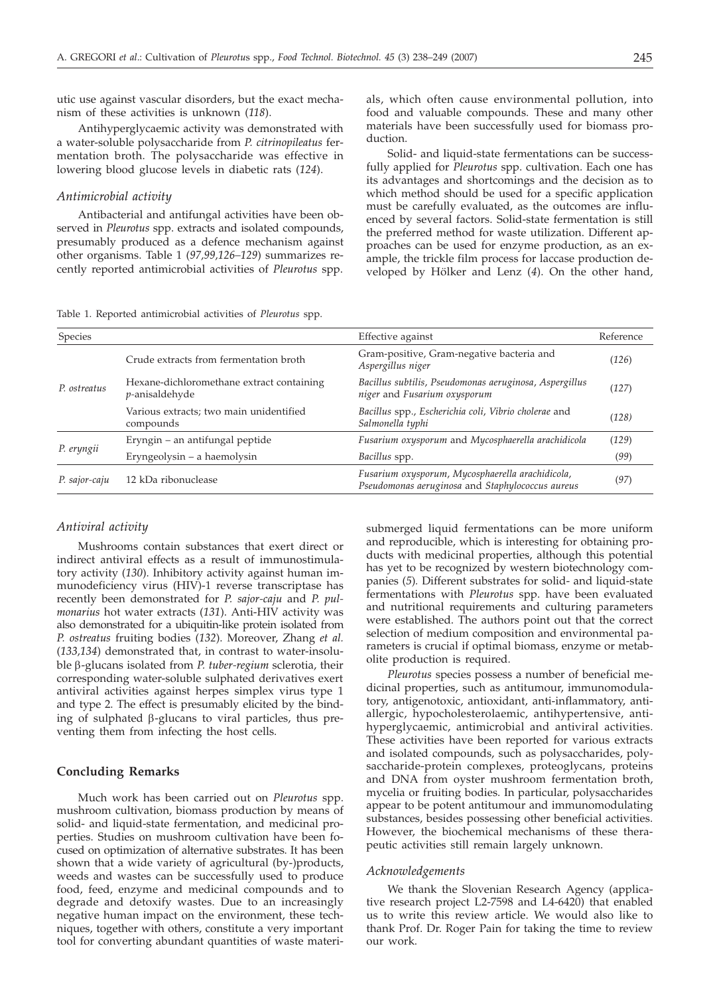utic use against vascular disorders, but the exact mechanism of these activities is unknown (*118*).

Antihyperglycaemic activity was demonstrated with a water-soluble polysaccharide from *P. citrinopileatus* fermentation broth. The polysaccharide was effective in lowering blood glucose levels in diabetic rats (*124*).

## *Antimicrobial activity*

Antibacterial and antifungal activities have been observed in *Pleurotus* spp. extracts and isolated compounds, presumably produced as a defence mechanism against other organisms. Table 1 (*97,99,126–129*) summarizes recently reported antimicrobial activities of *Pleurotus* spp.

als, which often cause environmental pollution, into food and valuable compounds. These and many other materials have been successfully used for biomass production.

Solid- and liquid-state fermentations can be successfully applied for *Pleurotus* spp. cultivation. Each one has its advantages and shortcomings and the decision as to which method should be used for a specific application must be carefully evaluated, as the outcomes are influenced by several factors. Solid-state fermentation is still the preferred method for waste utilization. Different approaches can be used for enzyme production, as an example, the trickle film process for laccase production developed by Hölker and Lenz (*4*). On the other hand,

Table 1. Reported antimicrobial activities of *Pleurotus* spp.

| Species       |                                                             | Effective against                                                                                    | Reference |
|---------------|-------------------------------------------------------------|------------------------------------------------------------------------------------------------------|-----------|
| P. ostreatus  | Crude extracts from fermentation broth                      | Gram-positive, Gram-negative bacteria and<br>Aspergillus niger                                       | (126)     |
|               | Hexane-dichloromethane extract containing<br>p-anisaldehyde | Bacillus subtilis, Pseudomonas aeruginosa, Aspergillus<br>niger and Fusarium oxysporum               | (127)     |
|               | Various extracts; two main unidentified<br>compounds        | Bacillus spp., Escherichia coli, Vibrio cholerae and<br>Salmonella typhi                             | (128)     |
| P. eryngii    | Eryngin – an antifungal peptide                             | Fusarium oxysporum and Mycosphaerella arachidicola                                                   | (129)     |
|               | Eryngeolysin - a haemolysin                                 | Bacillus spp.                                                                                        | (99)      |
| P. sajor-caju | 12 kDa ribonuclease                                         | Fusarium oxysporum, Mycosphaerella arachidicola,<br>Pseudomonas aeruginosa and Staphylococcus aureus | (97)      |

## *Antiviral activity*

Mushrooms contain substances that exert direct or indirect antiviral effects as a result of immunostimulatory activity (*130*). Inhibitory activity against human immunodeficiency virus (HIV)-1 reverse transcriptase has recently been demonstrated for *P. sajor-caju* and *P. pulmonarius* hot water extracts (*131*). Anti-HIV activity was also demonstrated for a ubiquitin-like protein isolated from *P. ostreatus* fruiting bodies (*132*). Moreover, Zhang *et al.* (*133,134*) demonstrated that, in contrast to water-insoluble b-glucans isolated from *P. tuber-regium* sclerotia, their corresponding water-soluble sulphated derivatives exert antiviral activities against herpes simplex virus type 1 and type 2. The effect is presumably elicited by the binding of sulphated  $\beta$ -glucans to viral particles, thus preventing them from infecting the host cells.

### **Concluding Remarks**

Much work has been carried out on *Pleurotus* spp. mushroom cultivation, biomass production by means of solid- and liquid-state fermentation, and medicinal properties. Studies on mushroom cultivation have been focused on optimization of alternative substrates. It has been shown that a wide variety of agricultural (by-)products, weeds and wastes can be successfully used to produce food, feed, enzyme and medicinal compounds and to degrade and detoxify wastes. Due to an increasingly negative human impact on the environment, these techniques, together with others, constitute a very important tool for converting abundant quantities of waste materisubmerged liquid fermentations can be more uniform and reproducible, which is interesting for obtaining products with medicinal properties, although this potential has yet to be recognized by western biotechnology companies (*5*)*.* Different substrates for solid- and liquid-state fermentations with *Pleurotus* spp. have been evaluated and nutritional requirements and culturing parameters were established. The authors point out that the correct selection of medium composition and environmental parameters is crucial if optimal biomass, enzyme or metabolite production is required.

*Pleurotus* species possess a number of beneficial medicinal properties, such as antitumour, immunomodulatory, antigenotoxic, antioxidant, anti-inflammatory, antiallergic, hypocholesterolaemic, antihypertensive, antihyperglycaemic, antimicrobial and antiviral activities. These activities have been reported for various extracts and isolated compounds, such as polysaccharides, polysaccharide-protein complexes, proteoglycans, proteins and DNA from oyster mushroom fermentation broth, mycelia or fruiting bodies. In particular, polysaccharides appear to be potent antitumour and immunomodulating substances, besides possessing other beneficial activities. However, the biochemical mechanisms of these therapeutic activities still remain largely unknown.

#### *Acknowledgements*

We thank the Slovenian Research Agency (applicative research project L2-7598 and L4-6420) that enabled us to write this review article. We would also like to thank Prof. Dr. Roger Pain for taking the time to review our work.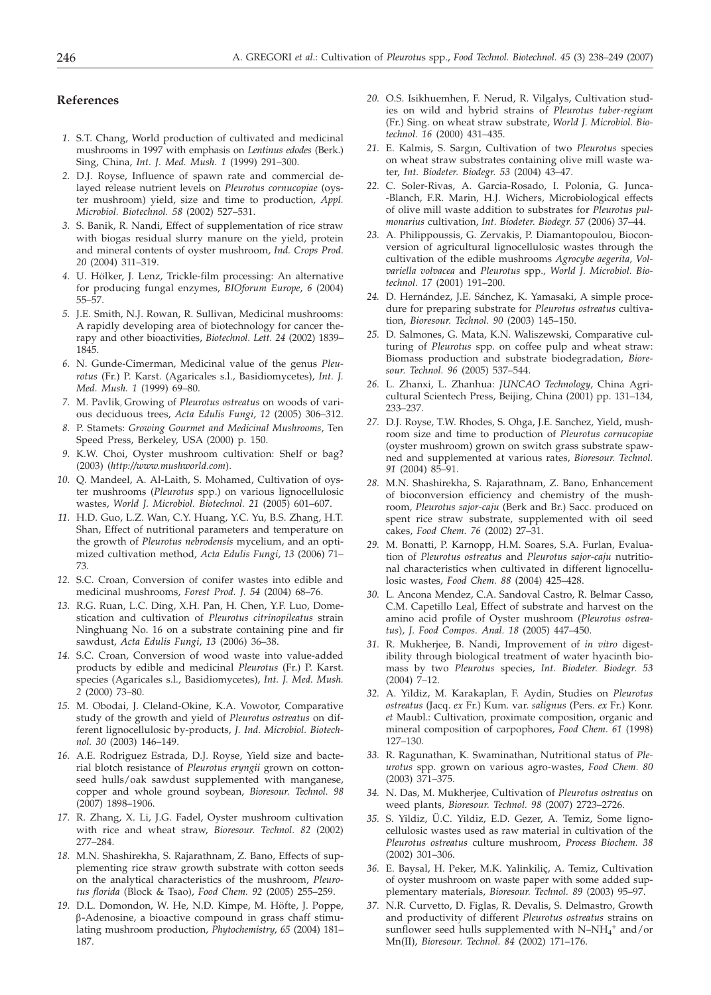## **References**

- *1.* S.T. Chang, World production of cultivated and medicinal mushrooms in 1997 with emphasis on *Lentinus edodes* (Berk.) Sing, China, *Int. J. Med. Mush. 1* (1999) 291–300.
- *2.* D.J. Royse, Influence of spawn rate and commercial delayed release nutrient levels on *Pleurotus cornucopiae* (oyster mushroom) yield, size and time to production, *Appl. Microbiol. Biotechnol. 58* (2002) 527–531.
- *3.* S. Banik, R. Nandi, Effect of supplementation of rice straw with biogas residual slurry manure on the yield, protein and mineral contents of oyster mushroom, *Ind. Crops Prod*. *20* (2004) 311–319.
- *4.* U. Hölker, J. Lenz, Trickle-film processing: An alternative for producing fungal enzymes, *BIOforum Europe*, *6* (2004) 55–57.
- *5.* J.E. Smith, N.J. Rowan, R. Sullivan, Medicinal mushrooms: A rapidly developing area of biotechnology for cancer therapy and other bioactivities, *Biotechnol. Lett. 24* (2002) 1839– 1845.
- *6.* N. Gunde-Cimerman, Medicinal value of the genus *Pleurotus* (Fr.) P. Karst. (Agaricales s.l., Basidiomycetes), *Int. J. Med. Mush. 1* (1999) 69–80.
- *7.* M. Pavlik, Growing of *Pleurotus ostreatus* on woods of various deciduous trees, *Acta Edulis Fungi*, *12* (2005) 306–312.
- *8.* P. Stamets: *Growing Gourmet and Medicinal Mushrooms*, Ten Speed Press, Berkeley, USA (2000) p. 150.
- *9.* K.W. Choi, Oyster mushroom cultivation: Shelf or bag? (2003) (*http://www.mushworld.com*).
- *10.* Q. Mandeel, A. Al-Laith, S. Mohamed, Cultivation of oyster mushrooms (*Pleurotus* spp.) on various lignocellulosic wastes, *World J. Microbiol. Biotechnol. 21* (2005) 601–607.
- *11.* H.D. Guo, L.Z. Wan, C.Y. Huang, Y.C. Yu, B.S. Zhang, H.T. Shan, Effect of nutritional parameters and temperature on the growth of *Pleurotus nebrodensis* mycelium, and an optimized cultivation method, *Acta Edulis Fungi*, *13* (2006) 71– 73.
- *12.* S.C. Croan, Conversion of conifer wastes into edible and medicinal mushrooms, *Forest Prod. J. 54* (2004) 68–76.
- *13.* R.G. Ruan, L.C. Ding, X.H. Pan, H. Chen, Y.F. Luo, Domestication and cultivation of *Pleurotus citrinopileatus* strain Ninghuang No. 16 on a substrate containing pine and fir sawdust, *Acta Edulis Fungi*, *13* (2006) 36–38.
- *14.* S.C. Croan, Conversion of wood waste into value-added products by edible and medicinal *Pleurotus* (Fr.) P. Karst. species (Agaricales s.l*.,* Basidiomycetes), *Int. J. Med. Mush. 2* (2000) 73–80.
- *15.* M. Obodai, J. Cleland-Okine, K.A. Vowotor, Comparative study of the growth and yield of *Pleurotus ostreatus* on different lignocellulosic by-products, *J. Ind. Microbiol. Biotechnol. 30* (2003) 146–149.
- *16.* A.E. Rodriguez Estrada, D.J. Royse, Yield size and bacterial blotch resistance of *Pleurotus eryngii* grown on cottonseed hulls/oak sawdust supplemented with manganese, copper and whole ground soybean, *Bioresour. Technol. 98* (2007) 1898–1906.
- *17.* R. Zhang, X. Li, J.G. Fadel, Oyster mushroom cultivation with rice and wheat straw, *Bioresour. Technol. 82* (2002) 277–284.
- *18.* M.N. Shashirekha, S. Rajarathnam, Z. Bano, Effects of supplementing rice straw growth substrate with cotton seeds on the analytical characteristics of the mushroom, *Pleurotus florida* (Block & Tsao), *Food Chem. 92* (2005) 255–259.
- *19.* D.L. Domondon, W. He, N.D. Kimpe, M. Höfte, J. Poppe, b-Adenosine, a bioactive compound in grass chaff stimulating mushroom production, *Phytochemistry*, *65* (2004) 181– 187.
- *20.* O.S. Isikhuemhen, F. Nerud, R. Vilgalys, Cultivation studies on wild and hybrid strains of *Pleurotus tuber-regium* (Fr.) Sing. on wheat straw substrate, *World J. Microbiol. Biotechnol. 16* (2000) 431–435.
- *21.* E. Kalmis, S. Sargi n, Cultivation of two *Pleurotus* species on wheat straw substrates containing olive mill waste water, *Int. Biodeter. Biodegr. 53* (2004) 43–47.
- *22.* C. Soler-Rivas, A. Garcia-Rosado, I. Polonia, G. Junca- -Blanch, F.R. Marin, H.J. Wichers, Microbiological effects of olive mill waste addition to substrates for *Pleurotus pulmonarius* cultivation, *Int. Biodeter. Biodegr. 57* (2006) 37–44.
- *23.* A. Philippoussis, G. Zervakis, P. Diamantopoulou, Bioconversion of agricultural lignocellulosic wastes through the cultivation of the edible mushrooms *Agrocybe aegerita, Volvariella volvacea* and *Pleurotus* spp.*, World J. Microbiol. Biotechnol. 17* (2001) 191–200.
- *24.* D. Hernández, J.E. Sánchez, K. Yamasaki, A simple procedure for preparing substrate for *Pleurotus ostreatus* cultivation, *Bioresour. Technol. 90* (2003) 145–150.
- *25.* D. Salmones, G. Mata, K.N. Waliszewski, Comparative culturing of *Pleurotus* spp. on coffee pulp and wheat straw: Biomass production and substrate biodegradation, *Bioresour. Technol. 96* (2005) 537–544.
- *26.* L. Zhanxi, L. Zhanhua: *JUNCAO Technology*, China Agricultural Scientech Press, Beijing, China (2001) pp. 131–134, 233–237.
- *27.* D.J. Royse, T.W. Rhodes, S. Ohga, J.E. Sanchez, Yield, mushroom size and time to production of *Pleurotus cornucopiae* (oyster mushroom) grown on switch grass substrate spawned and supplemented at various rates, *Bioresour. Technol. 91* (2004) 85–91.
- *28.* M.N. Shashirekha, S. Rajarathnam, Z. Bano, Enhancement of bioconversion efficiency and chemistry of the mushroom, *Pleurotus sajor-caju* (Berk and Br.) Sacc. produced on spent rice straw substrate, supplemented with oil seed cakes, *Food Chem. 76* (2002) 27–31.
- *29.* M. Bonatti, P. Karnopp, H.M. Soares, S.A. Furlan, Evaluation of *Pleurotus ostreatus* and *Pleurotus sajor-caju* nutritional characteristics when cultivated in different lignocellulosic wastes, *Food Chem. 88* (2004) 425–428.
- *30.* L. Ancona Mendez, C.A. Sandoval Castro, R. Belmar Casso, C.M. Capetillo Leal, Effect of substrate and harvest on the amino acid profile of Oyster mushroom (*Pleurotus ostreatus*), *J. Food Compos. Anal. 18* (2005) 447–450.
- *31.* R. Mukherjee, B. Nandi, Improvement of *in vitro* digestibility through biological treatment of water hyacinth biomass by two *Pleurotus* species, *Int. Biodeter. Biodegr. 53* (2004) 7–12.
- *32.* A. Yildiz, M. Karakaplan, F. Aydin, Studies on *Pleurotus ostreatus* (Jacq. *ex* Fr.) Kum. var. *salignus* (Pers. *ex* Fr.) Konr. *et* Maubl.: Cultivation, proximate composition, organic and mineral composition of carpophores, *Food Chem. 61* (1998) 127–130.
- *33.* R. Ragunathan, K. Swaminathan, Nutritional status of *Pleurotus* spp. grown on various agro-wastes, *Food Chem. 80* (2003) 371–375.
- *34.* N. Das, M. Mukherjee, Cultivation of *Pleurotus ostreatus* on weed plants, *Bioresour. Technol. 98* (2007) 2723–2726.
- *35.* S. Yildiz, Ü.C. Yildiz, E.D. Gezer, A. Temiz, Some lignocellulosic wastes used as raw material in cultivation of the *Pleurotus ostreatus* culture mushroom, *Process Biochem. 38* (2002) 301–306.
- *36.* E. Baysal, H. Peker, M.K. Yalinkiliç, A. Temiz, Cultivation of oyster mushroom on waste paper with some added supplementary materials, *Bioresour. Technol. 89* (2003) 95–97.
- *37.* N.R. Curvetto, D. Figlas, R. Devalis, S. Delmastro, Growth and productivity of different *Pleurotus ostreatus* strains on sunflower seed hulls supplemented with N-NH<sub>4</sub><sup>+</sup> and/or Mn(II), *Bioresour. Technol. 84* (2002) 171–176.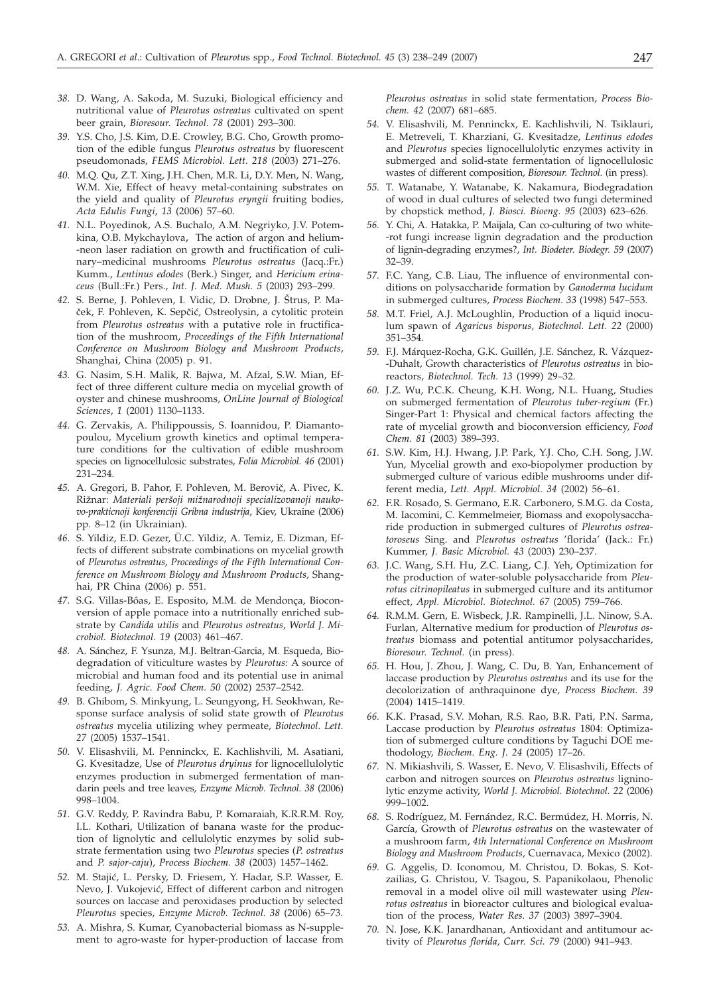- *38.* D. Wang, A. Sakoda, M. Suzuki, Biological efficiency and nutritional value of *Pleurotus ostreatus* cultivated on spent beer grain, *Bioresour. Technol. 78* (2001) 293–300.
- *39.* Y.S. Cho, J.S. Kim, D.E. Crowley, B.G. Cho, Growth promotion of the edible fungus *Pleurotus ostreatus* by fluorescent pseudomonads, *FEMS Microbiol. Lett. 218* (2003) 271–276.
- *40.* M.Q. Qu, Z.T. Xing, J.H. Chen, M.R. Li, D.Y. Men, N. Wang, W.M. Xie, Effect of heavy metal-containing substrates on the yield and quality of *Pleurotus eryngii* fruiting bodies, *Acta Edulis Fungi*, *13* (2006) 57–60.
- *41.* N.L. Poyedinok, A.S. Buchalo, A.M. Negriyko, J.V. Potemkina, O.B. Mykchaylova, The action of argon and helium- -neon laser radiation on growth and fructification of culinary–medicinal mushrooms *Pleurotus ostreatus* (Jacq.:Fr.) Kumm., *Lentinus edodes* (Berk.) Singer, and *Hericium erinaceus* (Bull.:Fr.) Pers., *Int. J. Med. Mush. 5* (2003) 293–299.
- 42. S. Berne, J. Pohleven, I. Vidic, D. Drobne, J. Štrus, P. Maček, F. Pohleven, K. Sepčić, Ostreolysin, a cytolitic protein from *Pleurotus ostreatus* with a putative role in fructification of the mushroom, *Proceedings of the Fifth International Conference on Mushroom Biology and Mushroom Products*, Shanghai, China (2005) p. 91.
- *43.* G. Nasim, S.H. Malik, R. Bajwa, M. Afzal, S.W. Mian, Effect of three different culture media on mycelial growth of oyster and chinese mushrooms, *OnLine Journal of Biological Sciences*, *1* (2001) 1130–1133.
- *44.* G. Zervakis, A. Philippoussis, S. Ioannidou, P. Diamantopoulou, Mycelium growth kinetics and optimal temperature conditions for the cultivation of edible mushroom species on lignocellulosic substrates, *Folia Microbiol. 46* (2001) 231–234.
- 45. A. Gregori, B. Pahor, F. Pohleven, M. Berovič, A. Pivec, K. Rižnar: Materiali peršoji mižnarodnoji specializovanoji nauko*vo-prakticnoji konferenciji Gribna industrija*, Kiev, Ukraine (2006) pp. 8–12 (in Ukrainian).
- *46.* S. Yildiz, E.D. Gezer, Ü.C. Yildiz, A. Temiz, E. Dizman, Effects of different substrate combinations on mycelial growth of *Pleurotus ostreatus*, *Proceedings of the Fifth International Conference on Mushroom Biology and Mushroom Products,* Shanghai, PR China (2006) p. 551.
- *47.* S.G. Villas-Bôas, E. Esposito, M.M. de Mendonça, Bioconversion of apple pomace into a nutritionally enriched substrate by *Candida utilis* and *Pleurotus ostreatus*, *World J. Microbiol. Biotechnol. 19* (2003) 461–467.
- *48.* A. Sánchez, F. Ysunza, M.J. Beltran-Garcia, M. Esqueda, Biodegradation of viticulture wastes by *Pleurotus*: A source of microbial and human food and its potential use in animal feeding, *J. Agric. Food Chem. 50* (2002) 2537–2542.
- *49.* B. Ghibom, S. Minkyung, L. Seungyong, H. Seokhwan, Response surface analysis of solid state growth of *Pleurotus ostreatus* mycelia utilizing whey permeate, *Biotechnol. Lett. 27* (2005) 1537–1541.
- *50.* V. Elisashvili, M. Penninckx, E. Kachlishvili, M. Asatiani, G. Kvesitadze, Use of *Pleurotus dryinus* for lignocellulolytic enzymes production in submerged fermentation of mandarin peels and tree leaves, *Enzyme Microb. Technol. 38* (2006) 998–1004.
- *51.* G.V. Reddy, P. Ravindra Babu, P. Komaraiah, K.R.R.M. Roy, I.L. Kothari, Utilization of banana waste for the production of lignolytic and cellulolytic enzymes by solid substrate fermentation using two *Pleurotus* species (*P. ostreatus* and *P. sajor-caju*), *Process Biochem. 38* (2003) 1457–1462.
- 52. M. Stajić, L. Persky, D. Friesem, Y. Hadar, S.P. Wasser, E. Nevo, J. Vukojević, Effect of different carbon and nitrogen sources on laccase and peroxidases production by selected *Pleurotus* species, *Enzyme Microb. Technol. 38* (2006) 65–73.
- *53.* A. Mishra, S. Kumar, Cyanobacterial biomass as N-supplement to agro-waste for hyper-production of laccase from

*Pleurotus ostreatus* in solid state fermentation, *Process Biochem. 42* (2007) 681–685.

- *54.* V. Elisashvili, M. Penninckx, E. Kachlishvili, N. Tsiklauri, E. Metreveli, T. Kharziani, G. Kvesitadze, *Lentinus edodes* and *Pleurotus* species lignocellulolytic enzymes activity in submerged and solid-state fermentation of lignocellulosic wastes of different composition, *Bioresour. Technol.* (in press).
- *55.* T. Watanabe, Y. Watanabe, K. Nakamura, Biodegradation of wood in dual cultures of selected two fungi determined by chopstick method, *J. Biosci. Bioeng. 95* (2003) 623–626.
- *56.* Y. Chi, A. Hatakka, P. Maijala, Can co-culturing of two white- -rot fungi increase lignin degradation and the production of lignin-degrading enzymes?, *Int. Biodeter. Biodegr. 59* (2007) 32–39.
- *57.* F.C. Yang, C.B. Liau, The influence of environmental conditions on polysaccharide formation by *Ganoderma lucidum* in submerged cultures, *Process Biochem. 33* (1998) 547–553.
- *58.* M.T. Friel, A.J. McLoughlin, Production of a liquid inoculum spawn of *Agaricus bisporus, Biotechnol. Lett. 22* (2000) 351–354.
- *59.* F.J. Márquez-Rocha, G.K. Guillén, J.E. Sánchez, R. Vázquez- -Duhalt, Growth characteristics of *Pleurotus ostreatus* in bioreactors, *Biotechnol. Tech. 13* (1999) 29–32.
- *60.* J.Z. Wu, P.C.K. Cheung, K.H. Wong, N.L. Huang, Studies on submerged fermentation of *Pleurotus tuber-regium* (Fr.) Singer-Part 1: Physical and chemical factors affecting the rate of mycelial growth and bioconversion efficiency, *Food Chem. 81* (2003) 389–393.
- *61.* S.W. Kim, H.J. Hwang, J.P. Park, Y.J. Cho, C.H. Song, J.W. Yun, Mycelial growth and exo-biopolymer production by submerged culture of various edible mushrooms under different media, *Lett. Appl. Microbiol. 34* (2002) 56–61.
- *62.* F.R. Rosado, S. Germano, E.R. Carbonero, S.M.G. da Costa, M. Iacomini, C. Kemmelmeier, Biomass and exopolysaccharide production in submerged cultures of *Pleurotus ostreatoroseus* Sing. and *Pleurotus ostreatus* 'florida' (Jack.: Fr.) Kummer, *J. Basic Microbiol. 43* (2003) 230–237.
- *63.* J.C. Wang, S.H. Hu, Z.C. Liang, C.J. Yeh, Optimization for the production of water-soluble polysaccharide from *Pleurotus citrinopileatus* in submerged culture and its antitumor effect, *Appl. Microbiol. Biotechnol. 67* (2005) 759–766.
- *64.* R.M.M. Gern, E. Wisbeck, J.R. Rampinelli, J.L. Ninow, S.A. Furlan, Alternative medium for production of *Pleurotus ostreatus* biomass and potential antitumor polysaccharides, *Bioresour. Technol.* (in press).
- *65.* H. Hou, J. Zhou, J. Wang, C. Du, B. Yan, Enhancement of laccase production by *Pleurotus ostreatus* and its use for the decolorization of anthraquinone dye, *Process Biochem. 39* (2004) 1415–1419.
- *66.* K.K. Prasad, S.V. Mohan, R.S. Rao, B.R. Pati, P.N. Sarma, Laccase production by *Pleurotus ostreatus* 1804: Optimization of submerged culture conditions by Taguchi DOE methodology, *Biochem. Eng. J. 24* (2005) 17–26.
- *67.* N. Mikiashvili, S. Wasser, E. Nevo, V. Elisashvili, Effects of carbon and nitrogen sources on *Pleurotus ostreatus* ligninolytic enzyme activity, *World J. Microbiol. Biotechnol. 22* (2006) 999–1002.
- *68.* S. Rodríguez, M. Fernández, R.C. Bermúdez, H. Morris, N. García, Growth of *Pleurotus ostreatus* on the wastewater of a mushroom farm, *4th International Conference on Mushroom Biology and Mushroom Products*, Cuernavaca, Mexico (2002).
- *69.* G. Aggelis, D. Iconomou, M. Christou, D. Bokas, S. Kotzailias, G. Christou, V. Tsagou, S. Papanikolaou, Phenolic removal in a model olive oil mill wastewater using *Pleurotus ostreatus* in bioreactor cultures and biological evaluation of the process, *Water Res. 37* (2003) 3897–3904.
- *70.* N. Jose, K.K. Janardhanan, Antioxidant and antitumour activity of *Pleurotus florida*, *Curr. Sci. 79* (2000) 941–943.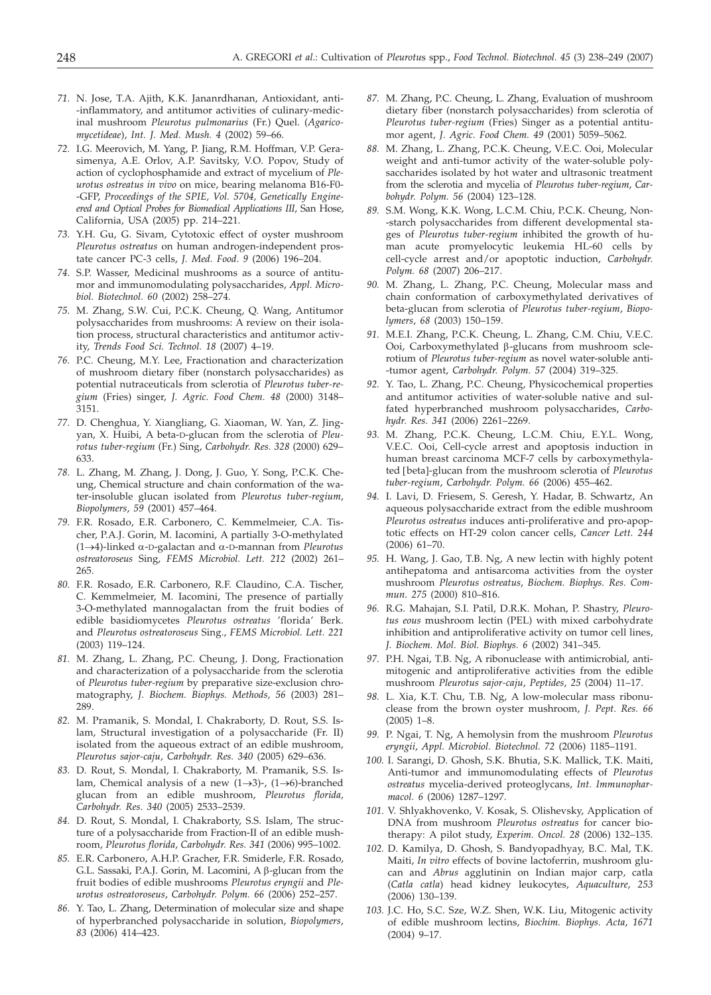- *71.* N. Jose, T.A. Ajith, K.K. Jananrdhanan, Antioxidant, anti- -inflammatory, and antitumor activities of culinary-medicinal mushroom *Pleurotus pulmonarius* (Fr.) Quel. (*Agaricomycetideae*), *Int. J. Med. Mush. 4* (2002) 59–66.
- *72.* I.G. Meerovich, M. Yang, P. Jiang, R.M. Hoffman, V.P. Gerasimenya, A.E. Orlov, A.P. Savitsky, V.O. Popov, Study of action of cyclophosphamide and extract of mycelium of *Pleurotus ostreatus in vivo* on mice, bearing melanoma B16-F0- -GFP, *Proceedings of the SPIE, Vol. 5704, Genetically Engineered and Optical Probes for Biomedical Applications III*, San Hose, California, USA (2005) pp. 214–221.
- *73.* Y.H. Gu, G. Sivam, Cytotoxic effect of oyster mushroom *Pleurotus ostreatus* on human androgen-independent prostate cancer PC-3 cells, *J. Med. Food*. *9* (2006) 196–204.
- *74.* S.P. Wasser, Medicinal mushrooms as a source of antitumor and immunomodulating polysaccharides, *Appl. Microbiol. Biotechnol. 60* (2002) 258–274.
- *75.* M. Zhang, S.W. Cui, P.C.K. Cheung, Q. Wang, Antitumor polysaccharides from mushrooms: A review on their isolation process, structural characteristics and antitumor activity, *Trends Food Sci. Technol. 18* (2007) 4–19.
- *76.* P.C. Cheung, M.Y. Lee, Fractionation and characterization of mushroom dietary fiber (nonstarch polysaccharides) as potential nutraceuticals from sclerotia of *Pleurotus tuber-regium* (Fries) singer, *J. Agric. Food Chem. 48* (2000) 3148– 3151.
- *77.* D. Chenghua, Y. Xiangliang, G. Xiaoman, W. Yan, Z. Jingyan, X. Huibi, A beta-D-glucan from the sclerotia of *Pleurotus tuber-regium* (Fr.) Sing, *Carbohydr. Res. 328* (2000) 629– 633.
- *78.* L. Zhang, M. Zhang, J. Dong, J. Guo, Y. Song, P.C.K. Cheung, Chemical structure and chain conformation of the water-insoluble glucan isolated from *Pleurotus tuber-regium*, *Biopolymers*, *59* (2001) 457–464.
- *79.* F.R. Rosado, E.R. Carbonero, C. Kemmelmeier, C.A. Tischer, P.A.J. Gorin, M. Iacomini, A partially 3-O-methylated ( $1 \rightarrow 4$ )-linked  $\alpha$ -D-galactan and  $\alpha$ -D-mannan from *Pleurotus ostreatoroseus* Sing, *FEMS Microbiol. Lett. 212* (2002) 261– 265.
- *80.* F.R. Rosado, E.R. Carbonero, R.F. Claudino, C.A. Tischer, C. Kemmelmeier, M. Iacomini, The presence of partially 3-O-methylated mannogalactan from the fruit bodies of edible basidiomycetes *Pleurotus ostreatus* 'florida' Berk. and *Pleurotus ostreatoroseus* Sing., *FEMS Microbiol. Lett. 221* (2003) 119–124.
- *81.* M. Zhang, L. Zhang, P.C. Cheung, J. Dong, Fractionation and characterization of a polysaccharide from the sclerotia of *Pleurotus tuber-regium* by preparative size-exclusion chromatography, *J. Biochem. Biophys. Methods, 56* (2003) 281– 289.
- *82.* M. Pramanik, S. Mondal, I. Chakraborty, D. Rout, S.S. Islam, Structural investigation of a polysaccharide (Fr. II) isolated from the aqueous extract of an edible mushroom, *Pleurotus sajor-caju*, *Carbohydr. Res. 340* (2005) 629–636.
- *83.* D. Rout, S. Mondal, I. Chakraborty, M. Pramanik, S.S. Islam, Chemical analysis of a new  $(1 \rightarrow 3)$ -,  $(1 \rightarrow 6)$ -branched glucan from an edible mushroom, *Pleurotus florida*, *Carbohydr. Res. 340* (2005) 2533–2539.
- *84.* D. Rout, S. Mondal, I. Chakraborty, S.S. Islam, The structure of a polysaccharide from Fraction-II of an edible mushroom, *Pleurotus florida*, *Carbohydr. Res. 341* (2006) 995–1002.
- *85.* E.R. Carbonero, A.H.P. Gracher, F.R. Smiderle, F.R. Rosado, G.L. Sassaki, P.A.J. Gorin, M. Lacomini, A  $\beta$ -glucan from the fruit bodies of edible mushrooms *Pleurotus eryngii* and *Pleurotus ostreatoroseus*, *Carbohydr. Polym. 66* (2006) 252–257.
- *86.* Y. Tao, L. Zhang, Determination of molecular size and shape of hyperbranched polysaccharide in solution, *Biopolymers*, *83* (2006) 414–423.
- *87.* M. Zhang, P.C. Cheung, L. Zhang, Evaluation of mushroom dietary fiber (nonstarch polysaccharides) from sclerotia of *Pleurotus tuber-regium* (Fries) Singer as a potential antitumor agent, *J. Agric. Food Chem. 49* (2001) 5059–5062.
- *88.* M. Zhang, L. Zhang, P.C.K. Cheung, V.E.C. Ooi, Molecular weight and anti-tumor activity of the water-soluble polysaccharides isolated by hot water and ultrasonic treatment from the sclerotia and mycelia of *Pleurotus tuber-regium*, *Carbohydr. Polym. 56* (2004) 123–128.
- *89.* S.M. Wong, K.K. Wong, L.C.M. Chiu, P.C.K. Cheung, Non- -starch polysaccharides from different developmental stages of *Pleurotus tuber-regium* inhibited the growth of human acute promyelocytic leukemia HL-60 cells by cell-cycle arrest and/or apoptotic induction, *Carbohydr. Polym. 68* (2007) 206–217.
- *90.* M. Zhang, L. Zhang, P.C. Cheung, Molecular mass and chain conformation of carboxymethylated derivatives of beta-glucan from sclerotia of *Pleurotus tuber-regium*, *Biopolymers*, *68* (2003) 150–159.
- *91.* M.E.I. Zhang, P.C.K. Cheung, L. Zhang, C.M. Chiu, V.E.C. Ooi, Carboxymethylated  $\beta$ -glucans from mushroom sclerotium of *Pleurotus tuber-regium* as novel water-soluble anti- -tumor agent, *Carbohydr. Polym. 57* (2004) 319–325.
- *92.* Y. Tao, L. Zhang, P.C. Cheung, Physicochemical properties and antitumor activities of water-soluble native and sulfated hyperbranched mushroom polysaccharides, *Carbohydr. Res. 341* (2006) 2261–2269.
- *93.* M. Zhang, P.C.K. Cheung, L.C.M. Chiu, E.Y.L. Wong, V.E.C. Ooi, Cell-cycle arrest and apoptosis induction in human breast carcinoma MCF-7 cells by carboxymethylated [beta]-glucan from the mushroom sclerotia of *Pleurotus tuber-regium*, *Carbohydr. Polym. 66* (2006) 455–462.
- *94.* I. Lavi, D. Friesem, S. Geresh, Y. Hadar, B. Schwartz, An aqueous polysaccharide extract from the edible mushroom *Pleurotus ostreatus* induces anti-proliferative and pro-apoptotic effects on HT-29 colon cancer cells, *Cancer Lett. 244* (2006) 61–70.
- *95.* H. Wang, J. Gao, T.B. Ng, A new lectin with highly potent antihepatoma and antisarcoma activities from the oyster mushroom *Pleurotus ostreatus*, *Biochem. Biophys. Res. Commun. 275* (2000) 810–816.
- *96.* R.G. Mahajan, S.I. Patil, D.R.K. Mohan, P. Shastry, *Pleurotus eous* mushroom lectin (PEL) with mixed carbohydrate inhibition and antiproliferative activity on tumor cell lines, *J. Biochem. Mol. Biol. Biophys. 6* (2002) 341–345.
- *97.* P.H. Ngai, T.B. Ng, A ribonuclease with antimicrobial, antimitogenic and antiproliferative activities from the edible mushroom *Pleurotus sajor-caju*, *Peptides*, *25* (2004) 11–17.
- *98.* L. Xia, K.T. Chu, T.B. Ng, A low-molecular mass ribonuclease from the brown oyster mushroom, *J. Pept. Res. 66* (2005) 1–8.
- *99.* P. Ngai, T. Ng, A hemolysin from the mushroom *Pleurotus eryngii*, *Appl. Microbiol. Biotechnol. 72* (2006) 1185–1191.
- *100.* I. Sarangi, D. Ghosh, S.K. Bhutia, S.K. Mallick, T.K. Maiti, Anti-tumor and immunomodulating effects of *Pleurotus ostreatus* mycelia-derived proteoglycans, *Int. Immunopharmacol. 6* (2006) 1287–1297.
- *101.* V. Shlyakhovenko, V. Kosak, S. Olishevsky, Application of DNA from mushroom *Pleurotus ostreatus* for cancer biotherapy: A pilot study, *Experim. Oncol. 28* (2006) 132–135.
- *102.* D. Kamilya, D. Ghosh, S. Bandyopadhyay, B.C. Mal, T.K. Maiti, *In vitro* effects of bovine lactoferrin, mushroom glucan and *Abrus* agglutinin on Indian major carp, catla (*Catla catla*) head kidney leukocytes, *Aquaculture*, *253* (2006) 130–139.
- *103.* J.C. Ho, S.C. Sze, W.Z. Shen, W.K. Liu, Mitogenic activity of edible mushroom lectins, *Biochim. Biophys. Acta*, *1671* (2004) 9–17.